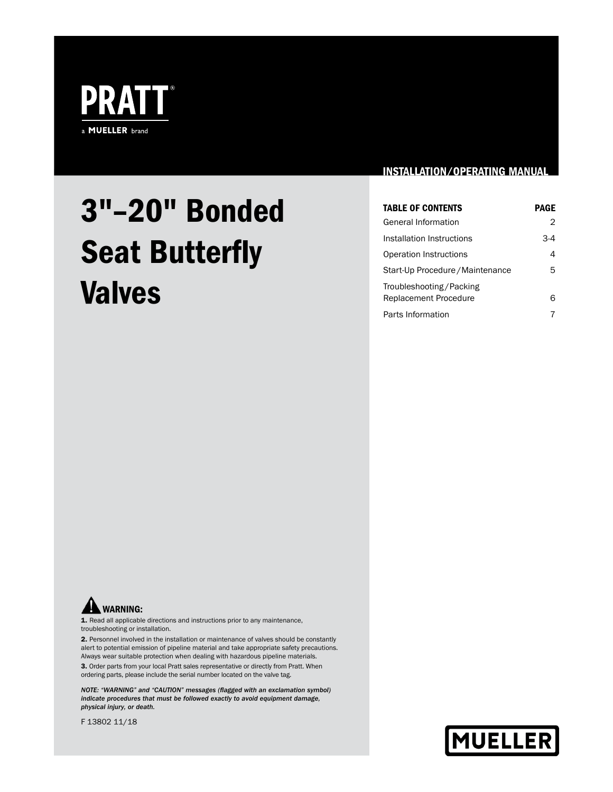

# 3"–20" Bonded Seat Butterfly Valves

# INSTALLATION/OPERATING MANUAL

| <b>TABLE OF CONTENTS</b>                         | <b>PAGE</b> |
|--------------------------------------------------|-------------|
| General Information                              | 2           |
| Installation Instructions                        | $3-4$       |
| Operation Instructions                           | 4           |
| Start-Up Procedure / Maintenance                 | 5           |
| Troubleshooting/Packing<br>Replacement Procedure | 6           |
| Parts Information                                |             |



1. Read all applicable directions and instructions prior to any maintenance, troubleshooting or installation.

2. Personnel involved in the installation or maintenance of valves should be constantly alert to potential emission of pipeline material and take appropriate safety precautions. Always wear suitable protection when dealing with hazardous pipeline materials.

3. Order parts from your local Pratt sales representative or directly from Pratt. When ordering parts, please include the serial number located on the valve tag.

*NOTE: "WARNING" and "CAUTION" messages (flagged with an exclamation symbol) indicate procedures that must be followed exactly to avoid equipment damage, physical injury, or death.*

F 13802 11/18

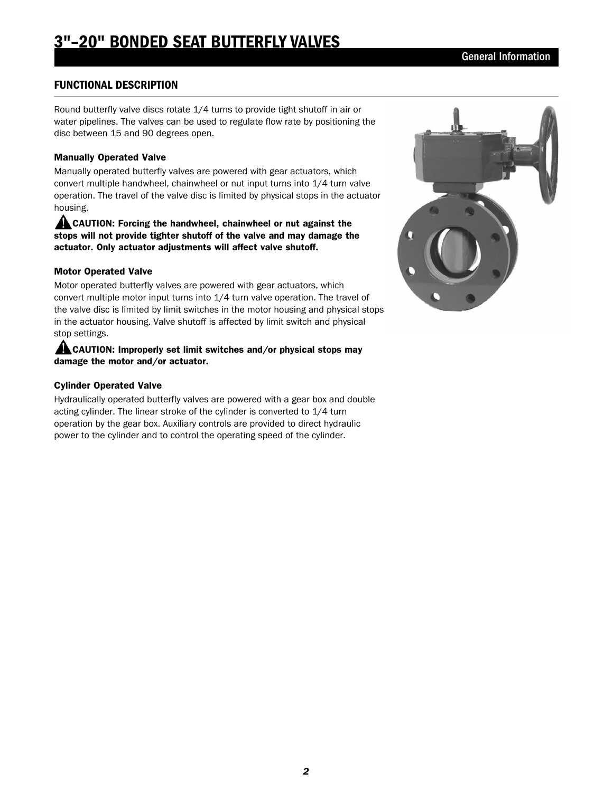# FUNCTIONAL DESCRIPTION

Round butterfly valve discs rotate 1/4 turns to provide tight shutoff in air or water pipelines. The valves can be used to regulate flow rate by positioning the disc between 15 and 90 degrees open.

#### Manually Operated Valve

Manually operated butterfly valves are powered with gear actuators, which convert multiple handwheel, chainwheel or nut input turns into 1/4 turn valve operation. The travel of the valve disc is limited by physical stops in the actuator housing.

**CAUTION: Forcing the handwheel, chainwheel or nut against the** stops will not provide tighter shutoff of the valve and may damage the actuator. Only actuator adjustments will affect valve shutoff.

#### Motor Operated Valve

Motor operated butterfly valves are powered with gear actuators, which convert multiple motor input turns into 1/4 turn valve operation. The travel of the valve disc is limited by limit switches in the motor housing and physical stops in the actuator housing. Valve shutoff is affected by limit switch and physical stop settings.

#### **ALCAUTION: Improperly set limit switches and/or physical stops may** damage the motor and/or actuator.

#### Cylinder Operated Valve

Hydraulically operated butterfly valves are powered with a gear box and double acting cylinder. The linear stroke of the cylinder is converted to 1/4 turn operation by the gear box. Auxiliary controls are provided to direct hydraulic power to the cylinder and to control the operating speed of the cylinder.

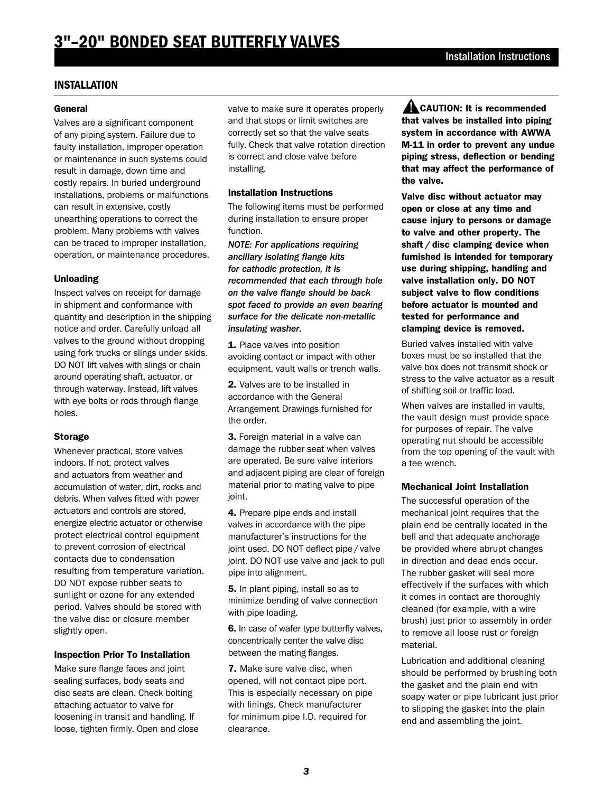## INSTALLATION

#### **General**

Valves are a significant component of any piping system. Failure due to faulty installation, improper operation or maintenance in such systems could result in damage, down time and costly repairs. In buried underground installations, problems or malfunctions can result in extensive, costly unearthing operations to correct the problem. Many problems with valves can be traced to improper installation, operation, or maintenance procedures.

#### Unloading

Inspect valves on receipt for damage in shipment and conformance with quantity and description in the shipping notice and order. Carefully unload all valves to the ground without dropping using fork trucks or slings under skids. DO NOT lift valves with slings or chain around operating shaft, actuator, or through waterway. Instead, lift valves with eye bolts or rods through flange holes.

#### Storage

Whenever practical, store valves indoors. If not, protect valves and actuators from weather and accumulation of water, dirt, rocks and debris. When valves fitted with power actuators and controls are stored, energize electric actuator or otherwise protect electrical control equipment to prevent corrosion of electrical contacts due to condensation resulting from temperature variation. DO NOT expose rubber seats to sunlight or ozone for any extended period. Valves should be stored with the valve disc or closure member slightly open.

#### Inspection Prior To Installation

Make sure flange faces and joint sealing surfaces, body seats and disc seats are clean. Check bolting attaching actuator to valve for loosening in transit and handling. If loose, tighten firmly. Open and close valve to make sure it operates properly and that stops or limit switches are correctly set so that the valve seats fully. Check that valve rotation direction is correct and close valve before installing.

#### Installation Instructions

The following items must be performed during installation to ensure proper function.

*NOTE: For applications requiring ancillary isolating flange kits for cathodic protection, it is recommended that each through hole on the valve flange should be back spot faced to provide an even bearing surface for the delicate non-metallic insulating washer.*

1. Place valves into position avoiding contact or impact with other equipment, vault walls or trench walls.

2. Valves are to be installed in accordance with the General Arrangement Drawings furnished for the order.

3. Foreign material in a valve can damage the rubber seat when valves are operated. Be sure valve interiors and adjacent piping are clear of foreign material prior to mating valve to pipe joint.

4. Prepare pipe ends and install valves in accordance with the pipe manufacturer's instructions for the joint used. DO NOT deflect pipe / valve joint. DO NOT use valve and jack to pull pipe into alignment.

5. In plant piping, install so as to minimize bending of valve connection with pipe loading.

6. In case of wafer type butterfly valves, concentrically center the valve disc between the mating flanges.

7. Make sure valve disc, when opened, will not contact pipe port. This is especially necessary on pipe with linings. Check manufacturer for minimum pipe I.D. required for clearance.

**ALCAUTION: It is recommended** that valves be installed into piping system in accordance with AWWA M-11 in order to prevent any undue piping stress, deflection or bending that may affect the performance of the valve.

Valve disc without actuator may open or close at any time and cause injury to persons or damage to valve and other property. The shaft / disc clamping device when furnished is intended for temporary use during shipping, handling and valve installation only. DO NOT subject valve to flow conditions before actuator is mounted and tested for performance and clamping device is removed.

Buried valves installed with valve boxes must be so installed that the valve box does not transmit shock or stress to the valve actuator as a result of shifting soil or traffic load.

When valves are installed in vaults, the vault design must provide space for purposes of repair. The valve operating nut should be accessible from the top opening of the vault with a tee wrench.

#### Mechanical Joint Installation

The successful operation of the mechanical joint requires that the plain end be centrally located in the bell and that adequate anchorage be provided where abrupt changes in direction and dead ends occur. The rubber gasket will seal more effectively if the surfaces with which it comes in contact are thoroughly cleaned (for example, with a wire brush) just prior to assembly in order to remove all loose rust or foreign material.

Lubrication and additional cleaning should be performed by brushing both the gasket and the plain end with soapy water or pipe lubricant just prior to slipping the gasket into the plain end and assembling the joint.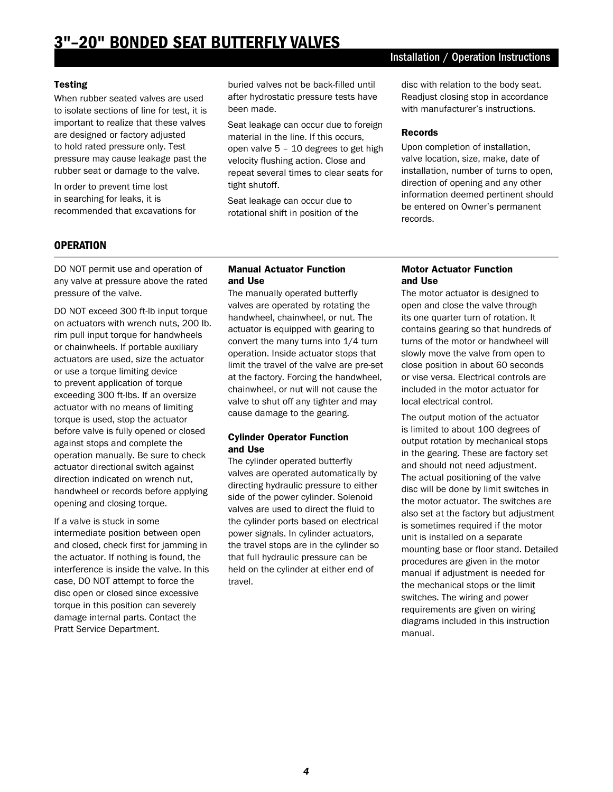# 3"–20" BONDED SEAT BUTTERFLY VALVES

#### Installation / Operation Instructions

#### Testing

When rubber seated valves are used to isolate sections of line for test, it is important to realize that these valves are designed or factory adjusted to hold rated pressure only. Test pressure may cause leakage past the rubber seat or damage to the valve.

In order to prevent time lost in searching for leaks, it is recommended that excavations for

buried valves not be back-filled until after hydrostatic pressure tests have been made.

Seat leakage can occur due to foreign material in the line. If this occurs, open valve 5 – 10 degrees to get high velocity flushing action. Close and repeat several times to clear seats for tight shutoff.

Seat leakage can occur due to rotational shift in position of the disc with relation to the body seat. Readjust closing stop in accordance with manufacturer's instructions.

#### Records

Upon completion of installation, valve location, size, make, date of installation, number of turns to open, direction of opening and any other information deemed pertinent should be entered on Owner's permanent records.

### **OPERATION**

DO NOT permit use and operation of any valve at pressure above the rated pressure of the valve.

DO NOT exceed 300 ft-lb input torque on actuators with wrench nuts, 200 lb. rim pull input torque for handwheels or chainwheels. If portable auxiliary actuators are used, size the actuator or use a torque limiting device to prevent application of torque exceeding 300 ft-lbs. If an oversize actuator with no means of limiting torque is used, stop the actuator before valve is fully opened or closed against stops and complete the operation manually. Be sure to check actuator directional switch against direction indicated on wrench nut, handwheel or records before applying opening and closing torque.

If a valve is stuck in some intermediate position between open and closed, check first for jamming in the actuator. If nothing is found, the interference is inside the valve. In this case, DO NOT attempt to force the disc open or closed since excessive torque in this position can severely damage internal parts. Contact the Pratt Service Department.

#### Manual Actuator Function and Use

The manually operated butterfly valves are operated by rotating the handwheel, chainwheel, or nut. The actuator is equipped with gearing to convert the many turns into 1/4 turn operation. Inside actuator stops that limit the travel of the valve are pre-set at the factory. Forcing the handwheel, chainwheel, or nut will not cause the valve to shut off any tighter and may cause damage to the gearing.

#### Cylinder Operator Function and Use

The cylinder operated butterfly valves are operated automatically by directing hydraulic pressure to either side of the power cylinder. Solenoid valves are used to direct the fluid to the cylinder ports based on electrical power signals. In cylinder actuators, the travel stops are in the cylinder so that full hydraulic pressure can be held on the cylinder at either end of travel.

#### Motor Actuator Function and Use

The motor actuator is designed to open and close the valve through its one quarter turn of rotation. It contains gearing so that hundreds of turns of the motor or handwheel will slowly move the valve from open to close position in about 60 seconds or vise versa. Electrical controls are included in the motor actuator for local electrical control.

The output motion of the actuator is limited to about 100 degrees of output rotation by mechanical stops in the gearing. These are factory set and should not need adjustment. The actual positioning of the valve disc will be done by limit switches in the motor actuator. The switches are also set at the factory but adjustment is sometimes required if the motor unit is installed on a separate mounting base or floor stand. Detailed procedures are given in the motor manual if adjustment is needed for the mechanical stops or the limit switches. The wiring and power requirements are given on wiring diagrams included in this instruction manual.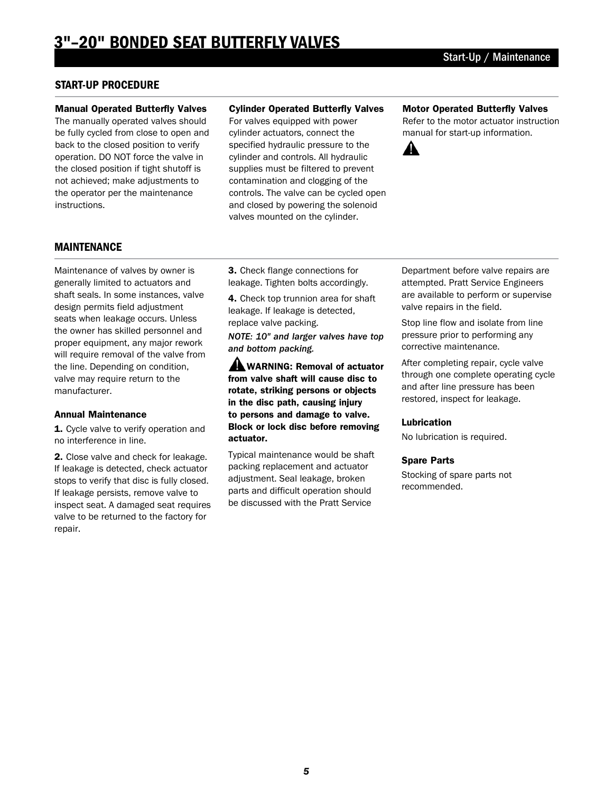# START-UP PROCEDURE

#### Manual Operated Butterfly Valves

The manually operated valves should be fully cycled from close to open and back to the closed position to verify operation. DO NOT force the valve in the closed position if tight shutoff is not achieved; make adjustments to the operator per the maintenance instructions.

#### Cylinder Operated Butterfly Valves

For valves equipped with power cylinder actuators, connect the specified hydraulic pressure to the cylinder and controls. All hydraulic supplies must be filtered to prevent contamination and clogging of the controls. The valve can be cycled open and closed by powering the solenoid valves mounted on the cylinder.

#### Motor Operated Butterfly Valves

Refer to the motor actuator instruction manual for start-up information.



# MAINTENANCE

Maintenance of valves by owner is generally limited to actuators and shaft seals. In some instances, valve design permits field adjustment seats when leakage occurs. Unless the owner has skilled personnel and proper equipment, any major rework will require removal of the valve from the line. Depending on condition, valve may require return to the manufacturer.

#### Annual Maintenance

1. Cycle valve to verify operation and no interference in line.

2. Close valve and check for leakage. If leakage is detected, check actuator stops to verify that disc is fully closed. If leakage persists, remove valve to inspect seat. A damaged seat requires valve to be returned to the factory for repair.

3. Check flange connections for leakage. Tighten bolts accordingly.

4. Check top trunnion area for shaft leakage. If leakage is detected, replace valve packing.

*NOTE: 10" and larger valves have top and bottom packing.*

A WARNING: Removal of actuator from valve shaft will cause disc to rotate, striking persons or objects in the disc path, causing injury to persons and damage to valve. Block or lock disc before removing actuator.

Typical maintenance would be shaft packing replacement and actuator adjustment. Seal leakage, broken parts and difficult operation should be discussed with the Pratt Service

Department before valve repairs are attempted. Pratt Service Engineers are available to perform or supervise valve repairs in the field.

Stop line flow and isolate from line pressure prior to performing any corrective maintenance.

After completing repair, cycle valve through one complete operating cycle and after line pressure has been restored, inspect for leakage.

#### Lubrication

No lubrication is required.

#### Spare Parts

Stocking of spare parts not recommended.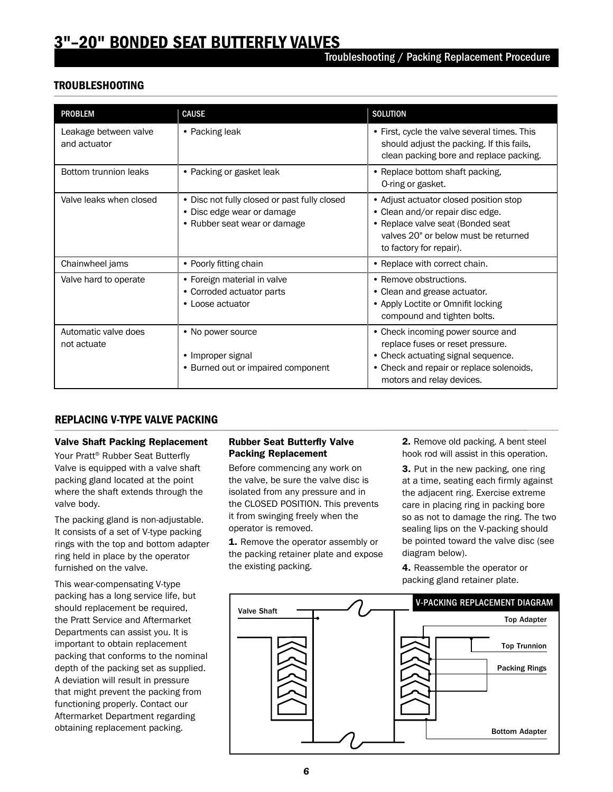# 3"–20" BONDED SEAT BUTTERFLY VALVES

# TROUBLESHOOTING

| <b>PROBLEM</b>                        | <b>CAUSE</b>                                                                                               | <b>SOLUTION</b>                                                                                                                                                                      |
|---------------------------------------|------------------------------------------------------------------------------------------------------------|--------------------------------------------------------------------------------------------------------------------------------------------------------------------------------------|
| Leakage between valve<br>and actuator | • Packing leak                                                                                             | • First, cycle the valve several times. This<br>should adjust the packing. If this fails,<br>clean packing bore and replace packing.                                                 |
| Bottom trunnion leaks                 | • Packing or gasket leak                                                                                   | • Replace bottom shaft packing,<br>O-ring or gasket.                                                                                                                                 |
| Valve leaks when closed               | • Disc not fully closed or past fully closed<br>• Disc edge wear or damage<br>• Rubber seat wear or damage | • Adjust actuator closed position stop<br>• Clean and/or repair disc edge.<br>• Replace valve seat (Bonded seat<br>valves 20" or below must be returned<br>to factory for repair).   |
| Chainwheel jams                       | • Poorly fitting chain                                                                                     | • Replace with correct chain.                                                                                                                                                        |
| Valve hard to operate                 | • Foreign material in valve<br>• Corroded actuator parts<br>• Loose actuator                               | • Remove obstructions.<br>• Clean and grease actuator.<br>• Apply Loctite or Omnifit locking<br>compound and tighten bolts.                                                          |
| Automatic valve does<br>not actuate   | • No power source<br>• Improper signal<br>• Burned out or impaired component                               | • Check incoming power source and<br>replace fuses or reset pressure.<br>• Check actuating signal sequence.<br>• Check and repair or replace solenoids,<br>motors and relay devices. |

# REPLACING V-TYPE VALVE PACKING

#### Valve Shaft Packing Replacement

Your Pratt® Rubber Seat Butterfly Valve is equipped with a valve shaft packing gland located at the point where the shaft extends through the valve body.

The packing gland is non-adjustable. It consists of a set of V-type packing rings with the top and bottom adapter ring held in place by the operator furnished on the valve.

This wear-compensating V-type packing has a long service life, but should replacement be required, the Pratt Service and Aftermarket Departments can assist you. It is important to obtain replacement packing that conforms to the nominal depth of the packing set as supplied. A deviation will result in pressure that might prevent the packing from functioning properly. Contact our Aftermarket Department regarding obtaining replacement packing.

#### Rubber Seat Butterfly Valve Packing Replacement

Before commencing any work on the valve, be sure the valve disc is isolated from any pressure and in the CLOSED POSITION. This prevents it from swinging freely when the operator is removed.

1. Remove the operator assembly or the packing retainer plate and expose the existing packing.

2. Remove old packing. A bent steel hook rod will assist in this operation.

**3.** Put in the new packing, one ring at a time, seating each firmly against the adjacent ring. Exercise extreme care in placing ring in packing bore so as not to damage the ring. The two sealing lips on the V-packing should be pointed toward the valve disc (see diagram below).

4. Reassemble the operator or packing gland retainer plate.

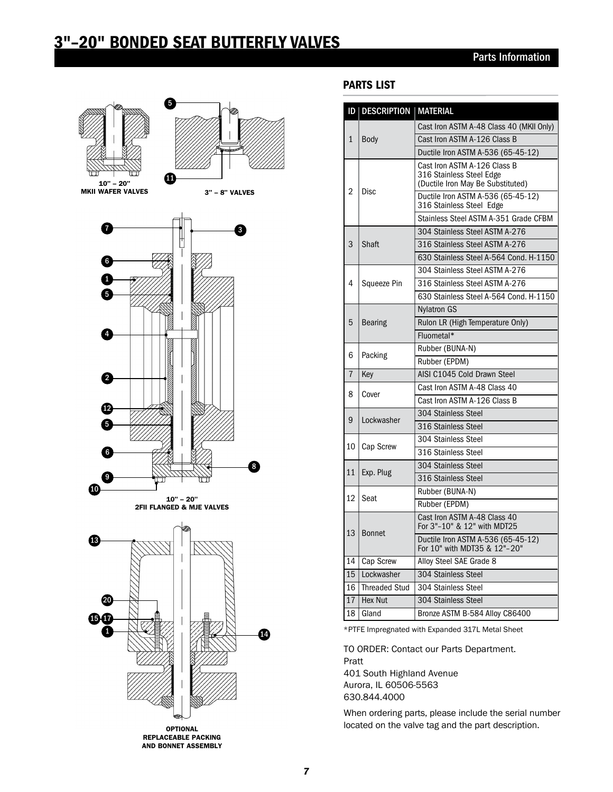# 3"–20" BONDED SEAT BUTTERFLY VALVES



# PARTS LIST

|                 | <b>ID   DESCRIPTION   MATERIAL</b> |                                                                                               |
|-----------------|------------------------------------|-----------------------------------------------------------------------------------------------|
| 1               | Body                               | Cast Iron ASTM A-48 Class 40 (MKII Only)                                                      |
|                 |                                    | Cast Iron ASTM A-126 Class B                                                                  |
|                 |                                    | Ductile Iron ASTM A-536 (65-45-12)                                                            |
| 2               | Disc                               | Cast Iron ASTM A-126 Class B<br>316 Stainless Steel Edge<br>(Ductile Iron May Be Substituted) |
|                 |                                    | Ductile Iron ASTM A-536 (65-45-12)<br>316 Stainless Steel Edge                                |
|                 |                                    | Stainless Steel ASTM A-351 Grade CFBM                                                         |
| 3<br>Shaft      |                                    | 304 Stainless Steel ASTM A-276                                                                |
|                 |                                    | 316 Stainless Steel ASTM A-276                                                                |
|                 |                                    | 630 Stainless Steel A-564 Cond, H-1150                                                        |
|                 | 4<br>Squeeze Pin                   | 304 Stainless Steel ASTM A-276                                                                |
|                 |                                    | 316 Stainless Steel ASTM A-276                                                                |
|                 |                                    | 630 Stainless Steel A-564 Cond, H-1150                                                        |
|                 |                                    | <b>Nylatron GS</b>                                                                            |
| 5               | <b>Bearing</b>                     | Rulon LR (High Temperature Only)                                                              |
|                 |                                    | Fluometal*                                                                                    |
|                 | 6<br>Packing                       | Rubber (BUNA-N)                                                                               |
|                 |                                    | Rubber (EPDM)                                                                                 |
| $\overline{7}$  | Key                                | AISI C1045 Cold Drawn Steel                                                                   |
|                 | 8<br>Cover                         | Cast Iron ASTM A-48 Class 40                                                                  |
|                 |                                    | Cast Iron ASTM A-126 Class B                                                                  |
|                 | Lockwasher                         | 304 Stainless Steel                                                                           |
| 9               |                                    | 316 Stainless Steel                                                                           |
|                 |                                    | 304 Stainless Steel                                                                           |
| 10              | Cap Screw                          | 316 Stainless Steel                                                                           |
|                 |                                    | 304 Stainless Steel                                                                           |
| 11<br>Exp. Plug |                                    | 316 Stainless Steel                                                                           |
|                 | Rubber (BUNA-N)                    |                                                                                               |
|                 | 12<br>Seat                         | Rubber (EPDM)                                                                                 |
| 13              |                                    | Cast Iron ASTM A-48 Class 40<br>For 3"-10" & 12" with MDT25                                   |
|                 | <b>Bonnet</b>                      | Ductile Iron ASTM A-536 (65-45-12)<br>For 10" with MDT35 & 12"-20"                            |
| 14              | Cap Screw                          | Alloy Steel SAE Grade 8                                                                       |
| 15              | Lockwasher                         | 304 Stainless Steel                                                                           |
| 16              | <b>Threaded Stud</b>               | 304 Stainless Steel                                                                           |
| 17              | <b>Hex Nut</b>                     | 304 Stainless Steel                                                                           |
| 18              | Gland                              | Bronze ASTM B-584 Alloy C86400                                                                |

\*PTFE Impregnated with Expanded 317L Metal Sheet

TO ORDER: Contact our Parts Department. Pratt 401 South Highland Avenue Aurora, IL 60506-5563 630.844.4000

When ordering parts, please include the serial number located on the valve tag and the part description.